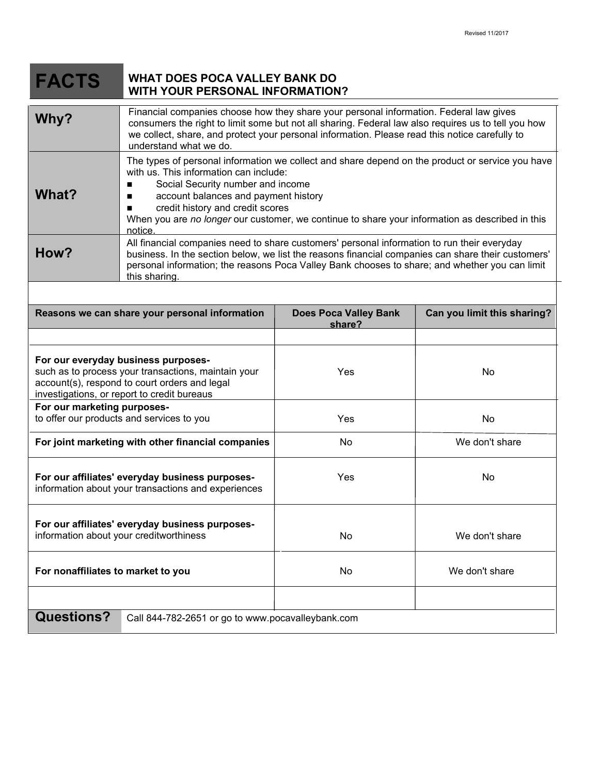| <b>FACTS</b>                                                                                                                                                                               | <b>WHAT DOES POCA VALLEY BANK DO</b><br><b>WITH YOUR PERSONAL INFORMATION?</b>                                                                                                                                                                                                                                                                                                           |                                        |                             |
|--------------------------------------------------------------------------------------------------------------------------------------------------------------------------------------------|------------------------------------------------------------------------------------------------------------------------------------------------------------------------------------------------------------------------------------------------------------------------------------------------------------------------------------------------------------------------------------------|----------------------------------------|-----------------------------|
| Why?                                                                                                                                                                                       | Financial companies choose how they share your personal information. Federal law gives<br>consumers the right to limit some but not all sharing. Federal law also requires us to tell you how<br>we collect, share, and protect your personal information. Please read this notice carefully to<br>understand what we do.                                                                |                                        |                             |
| What?                                                                                                                                                                                      | The types of personal information we collect and share depend on the product or service you have<br>with us. This information can include:<br>Social Security number and income<br>п<br>account balances and payment history<br>ш<br>credit history and credit scores<br>п<br>When you are no longer our customer, we continue to share your information as described in this<br>notice. |                                        |                             |
| How?                                                                                                                                                                                       | All financial companies need to share customers' personal information to run their everyday<br>business. In the section below, we list the reasons financial companies can share their customers'<br>personal information; the reasons Poca Valley Bank chooses to share; and whether you can limit<br>this sharing.                                                                     |                                        |                             |
|                                                                                                                                                                                            | Reasons we can share your personal information                                                                                                                                                                                                                                                                                                                                           | <b>Does Poca Valley Bank</b><br>share? | Can you limit this sharing? |
| For our everyday business purposes-<br>such as to process your transactions, maintain your<br>account(s), respond to court orders and legal<br>investigations, or report to credit bureaus |                                                                                                                                                                                                                                                                                                                                                                                          | Yes                                    | No                          |
| For our marketing purposes-<br>to offer our products and services to you                                                                                                                   |                                                                                                                                                                                                                                                                                                                                                                                          | Yes                                    | No                          |
| For joint marketing with other financial companies                                                                                                                                         |                                                                                                                                                                                                                                                                                                                                                                                          | No                                     | We don't share              |
| For our affiliates' everyday business purposes-<br>information about your transactions and experiences                                                                                     |                                                                                                                                                                                                                                                                                                                                                                                          | Yes                                    | No                          |
| For our affiliates' everyday business purposes-<br>information about your creditworthiness                                                                                                 |                                                                                                                                                                                                                                                                                                                                                                                          | No                                     | We don't share              |
| For nonaffiliates to market to you                                                                                                                                                         |                                                                                                                                                                                                                                                                                                                                                                                          | No                                     | We don't share              |
|                                                                                                                                                                                            |                                                                                                                                                                                                                                                                                                                                                                                          |                                        |                             |
| <b>Questions?</b><br>Call 844-782-2651 or go to www.pocavalleybank.com                                                                                                                     |                                                                                                                                                                                                                                                                                                                                                                                          |                                        |                             |